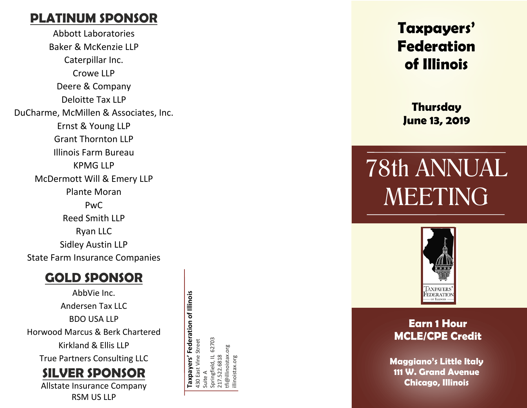# **PLATINUM SPONSOR**

Abbott Laboratories Baker & McKenzie LLP Caterpillar Inc. Crowe LLP Deere & Company Deloitte Tax LLP DuCharme, McMillen & Associates, Inc. Ernst & Young LLP Grant Thornton LLP Illinois Farm Bureau KPMG LLP McDermott Will & Emery LLP Plante Moran PwC Reed Smith LLP Ryan LLC Sidley Austin LLP State Farm Insurance Companies

## **GOLD SPONSOR**

AbbVie Inc. Andersen Tax LLC BDO USA LLP Horwood Marcus & Berk Chartered Kirkland & Ellis LLP True Partners Consulting LLC

Allstate Insurance Company **SILVER SPONSOR**

RSM US LLP

Taxpayers' Federation of Illinois **Taxpayers' Federation of Illinois** 62703 Springfield, IL 62703 430 East Vine Street 430 East Vine Street Springfield, IL 627<br>217.522.6818<br>tfi@illinoistax.org tfi@illinoistax.org illinoistax.org Suite A

# **Taxpayers' Federation of Illinois**

**Thursday June 13, 2019**

# 78th ANNUAL MEETING



## **Earn 1 Hour MCLE/CPE Credit**

**Maggiano's Little Italy 111 W. Grand Avenue Chicago, Illinois**